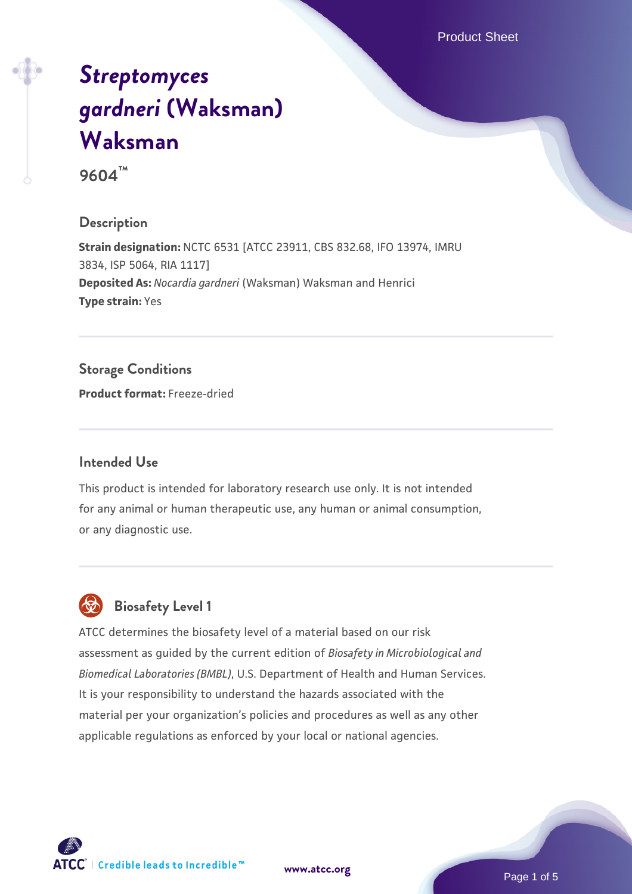Product Sheet

# *[Streptomyces](https://www.atcc.org/products/9604) [gardneri](https://www.atcc.org/products/9604)* **[\(Waksman\)](https://www.atcc.org/products/9604) [Waksman](https://www.atcc.org/products/9604)**

**9604™**

# **Description**

**Strain designation:** NCTC 6531 [ATCC 23911, CBS 832.68, IFO 13974, IMRU 3834, ISP 5064, RIA 1117] **Deposited As:** *Nocardia gardneri* (Waksman) Waksman and Henrici **Type strain:** Yes

# **Storage Conditions**

**Product format:** Freeze-dried

### **Intended Use**

This product is intended for laboratory research use only. It is not intended for any animal or human therapeutic use, any human or animal consumption, or any diagnostic use.



# **Biosafety Level 1**

ATCC determines the biosafety level of a material based on our risk assessment as guided by the current edition of *Biosafety in Microbiological and Biomedical Laboratories (BMBL)*, U.S. Department of Health and Human Services. It is your responsibility to understand the hazards associated with the material per your organization's policies and procedures as well as any other applicable regulations as enforced by your local or national agencies.

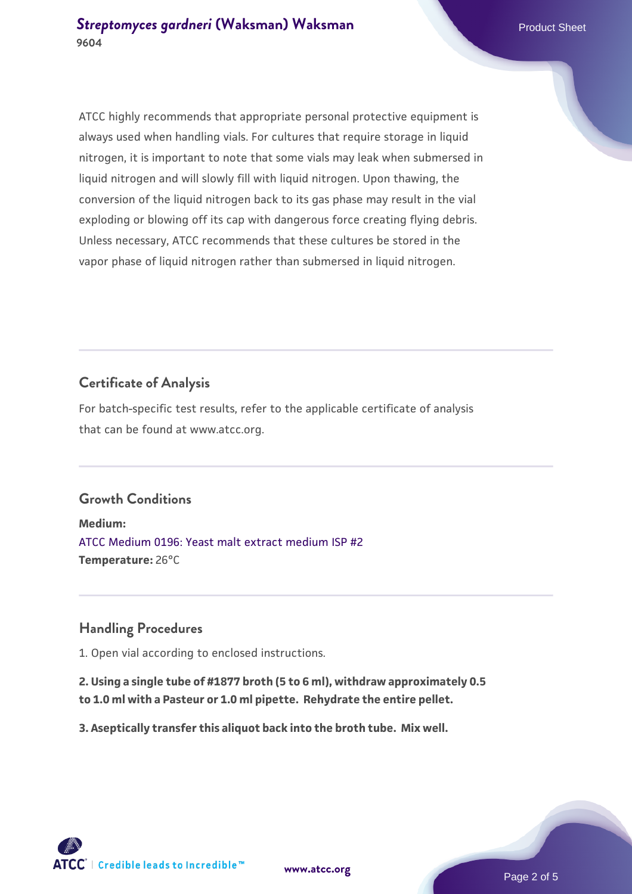ATCC highly recommends that appropriate personal protective equipment is always used when handling vials. For cultures that require storage in liquid nitrogen, it is important to note that some vials may leak when submersed in liquid nitrogen and will slowly fill with liquid nitrogen. Upon thawing, the conversion of the liquid nitrogen back to its gas phase may result in the vial exploding or blowing off its cap with dangerous force creating flying debris. Unless necessary, ATCC recommends that these cultures be stored in the vapor phase of liquid nitrogen rather than submersed in liquid nitrogen.

# **Certificate of Analysis**

For batch-specific test results, refer to the applicable certificate of analysis that can be found at www.atcc.org.

#### **Growth Conditions**

**Medium:**  [ATCC Medium 0196: Yeast malt extract medium ISP #2](https://www.atcc.org/-/media/product-assets/documents/microbial-media-formulations/1/9/6/atcc-medium-0196.pdf?rev=3ab98ce3034f46208b34017336aa4c86) **Temperature:** 26°C

#### **Handling Procedures**

1. Open vial according to enclosed instructions.

**2. Using a single tube of #1877 broth (5 to 6 ml), withdraw approximately 0.5 to 1.0 ml with a Pasteur or 1.0 ml pipette. Rehydrate the entire pellet.**

**3. Aseptically transfer this aliquot back into the broth tube. Mix well.**

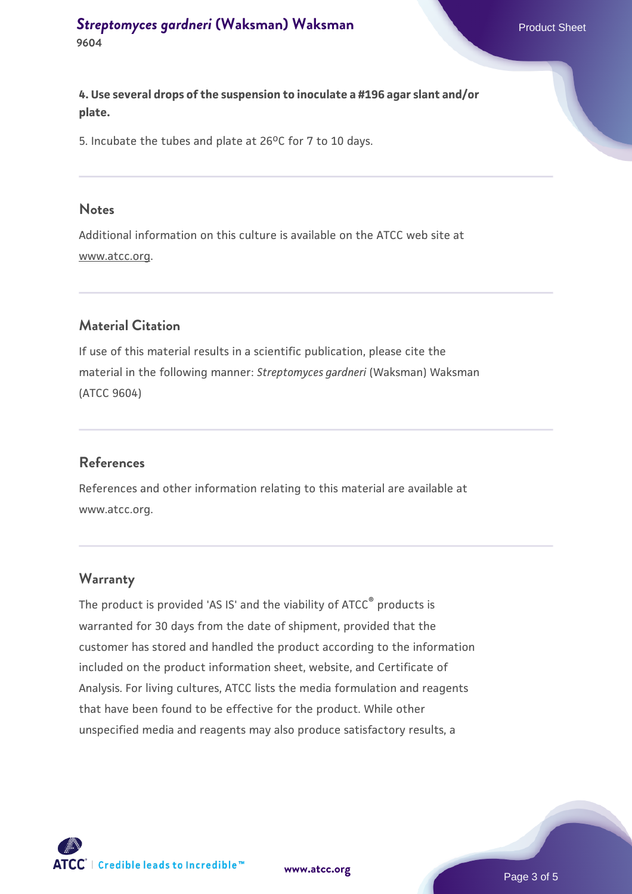**4. Use several drops of the suspension to inoculate a #196 agar slant and/or plate.**

5. Incubate the tubes and plate at  $26^{\circ}$ C for 7 to 10 days.

#### **Notes**

Additional information on this culture is available on the ATCC web site at www.atcc.org.

# **Material Citation**

If use of this material results in a scientific publication, please cite the material in the following manner: *Streptomyces gardneri* (Waksman) Waksman (ATCC 9604)

#### **References**

References and other information relating to this material are available at www.atcc.org.

#### **Warranty**

The product is provided 'AS IS' and the viability of ATCC® products is warranted for 30 days from the date of shipment, provided that the customer has stored and handled the product according to the information included on the product information sheet, website, and Certificate of Analysis. For living cultures, ATCC lists the media formulation and reagents that have been found to be effective for the product. While other unspecified media and reagents may also produce satisfactory results, a



**[www.atcc.org](http://www.atcc.org)**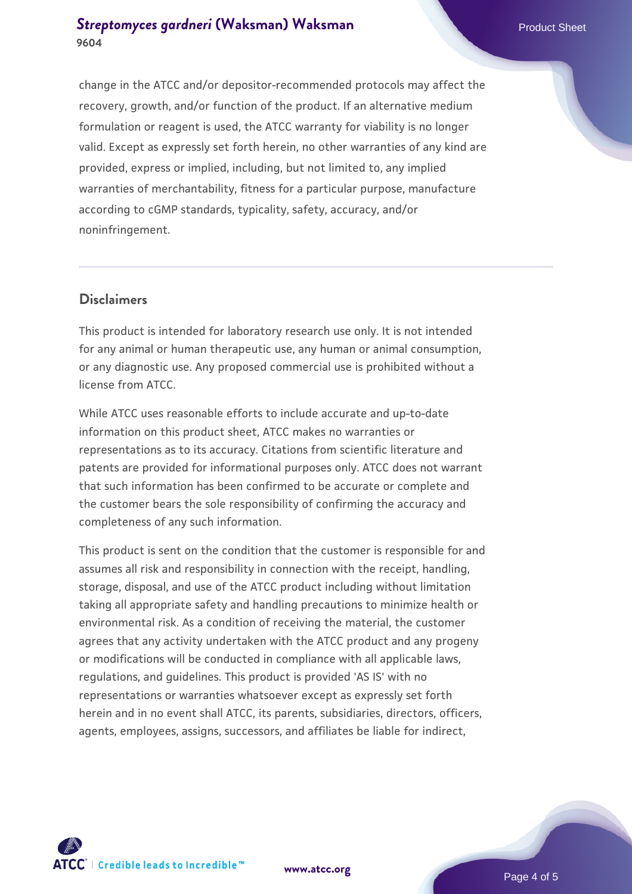# **[Streptomyces gardneri](https://www.atcc.org/products/9604) [\(Waksman\) Waksman](https://www.atcc.org/products/9604) Product Sheet** Product Sheet **9604**

change in the ATCC and/or depositor-recommended protocols may affect the recovery, growth, and/or function of the product. If an alternative medium formulation or reagent is used, the ATCC warranty for viability is no longer valid. Except as expressly set forth herein, no other warranties of any kind are provided, express or implied, including, but not limited to, any implied warranties of merchantability, fitness for a particular purpose, manufacture according to cGMP standards, typicality, safety, accuracy, and/or noninfringement.

# **Disclaimers**

This product is intended for laboratory research use only. It is not intended for any animal or human therapeutic use, any human or animal consumption, or any diagnostic use. Any proposed commercial use is prohibited without a license from ATCC.

While ATCC uses reasonable efforts to include accurate and up-to-date information on this product sheet, ATCC makes no warranties or representations as to its accuracy. Citations from scientific literature and patents are provided for informational purposes only. ATCC does not warrant that such information has been confirmed to be accurate or complete and the customer bears the sole responsibility of confirming the accuracy and completeness of any such information.

This product is sent on the condition that the customer is responsible for and assumes all risk and responsibility in connection with the receipt, handling, storage, disposal, and use of the ATCC product including without limitation taking all appropriate safety and handling precautions to minimize health or environmental risk. As a condition of receiving the material, the customer agrees that any activity undertaken with the ATCC product and any progeny or modifications will be conducted in compliance with all applicable laws, regulations, and guidelines. This product is provided 'AS IS' with no representations or warranties whatsoever except as expressly set forth herein and in no event shall ATCC, its parents, subsidiaries, directors, officers, agents, employees, assigns, successors, and affiliates be liable for indirect,